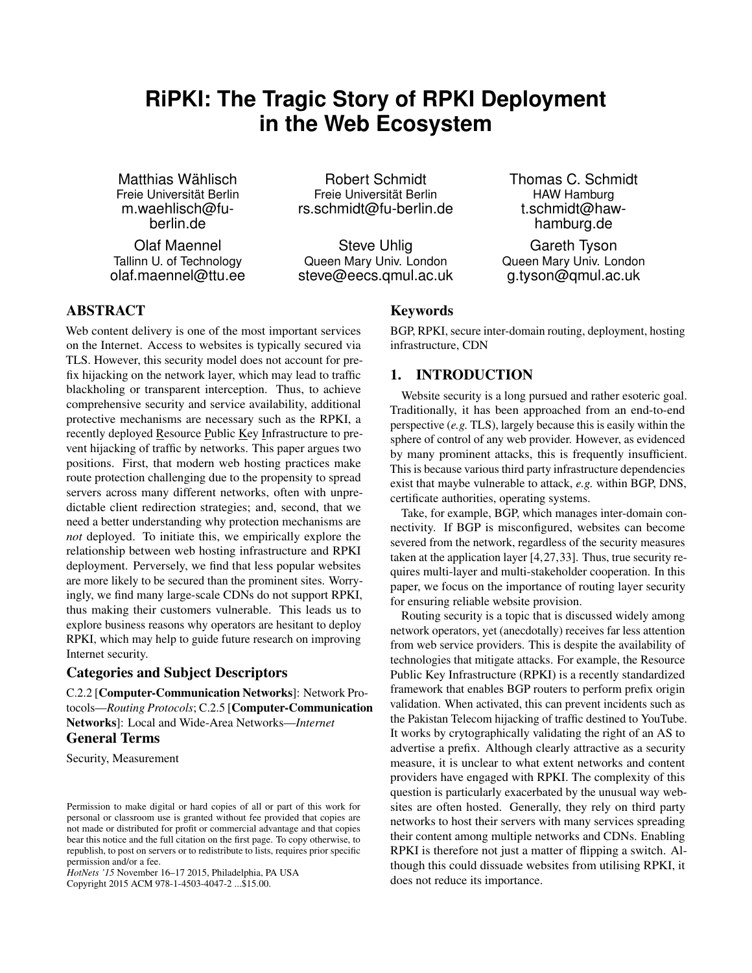# **RiPKI: The Tragic Story of RPKI Deployment in the Web Ecosystem**

Matthias Wählisch Freie Universität Berlin m.waehlisch@fuberlin.de

Olaf Maennel Tallinn U. of Technology olaf.maennel@ttu.ee

Robert Schmidt Freie Universität Berlin rs.schmidt@fu-berlin.de

Steve Uhlig Queen Mary Univ. London steve@eecs.qmul.ac.uk Thomas C. Schmidt HAW Hamburg t.schmidt@hawhamburg.de

Gareth Tyson Queen Mary Univ. London g.tyson@qmul.ac.uk

# ABSTRACT

Web content delivery is one of the most important services on the Internet. Access to websites is typically secured via TLS. However, this security model does not account for prefix hijacking on the network layer, which may lead to traffic blackholing or transparent interception. Thus, to achieve comprehensive security and service availability, additional protective mechanisms are necessary such as the RPKI, a recently deployed Resource Public Key Infrastructure to prevent hijacking of traffic by networks. This paper argues two positions. First, that modern web hosting practices make route protection challenging due to the propensity to spread servers across many different networks, often with unpredictable client redirection strategies; and, second, that we need a better understanding why protection mechanisms are *not* deployed. To initiate this, we empirically explore the relationship between web hosting infrastructure and RPKI deployment. Perversely, we find that less popular websites are more likely to be secured than the prominent sites. Worryingly, we find many large-scale CDNs do not support RPKI, thus making their customers vulnerable. This leads us to explore business reasons why operators are hesitant to deploy RPKI, which may help to guide future research on improving Internet security.

#### Categories and Subject Descriptors

C.2.2 [Computer-Communication Networks]: Network Protocols—*Routing Protocols*; C.2.5 [Computer-Communication Networks]: Local and Wide-Area Networks—*Internet* General Terms

Security, Measurement

*HotNets '15* November 16–17 2015, Philadelphia, PA USA Copyright 2015 ACM 978-1-4503-4047-2 ...\$15.00.

## Keywords

BGP, RPKI, secure inter-domain routing, deployment, hosting infrastructure, CDN

# 1. INTRODUCTION

Website security is a long pursued and rather esoteric goal. Traditionally, it has been approached from an end-to-end perspective (*e.g.* TLS), largely because this is easily within the sphere of control of any web provider. However, as evidenced by many prominent attacks, this is frequently insufficient. This is because various third party infrastructure dependencies exist that maybe vulnerable to attack, *e.g.* within BGP, DNS, certificate authorities, operating systems.

Take, for example, BGP, which manages inter-domain connectivity. If BGP is misconfigured, websites can become severed from the network, regardless of the security measures taken at the application layer [4,27,33]. Thus, true security requires multi-layer and multi-stakeholder cooperation. In this paper, we focus on the importance of routing layer security for ensuring reliable website provision.

Routing security is a topic that is discussed widely among network operators, yet (anecdotally) receives far less attention from web service providers. This is despite the availability of technologies that mitigate attacks. For example, the Resource Public Key Infrastructure (RPKI) is a recently standardized framework that enables BGP routers to perform prefix origin validation. When activated, this can prevent incidents such as the Pakistan Telecom hijacking of traffic destined to YouTube. It works by crytographically validating the right of an AS to advertise a prefix. Although clearly attractive as a security measure, it is unclear to what extent networks and content providers have engaged with RPKI. The complexity of this question is particularly exacerbated by the unusual way websites are often hosted. Generally, they rely on third party networks to host their servers with many services spreading their content among multiple networks and CDNs. Enabling RPKI is therefore not just a matter of flipping a switch. Although this could dissuade websites from utilising RPKI, it does not reduce its importance.

Permission to make digital or hard copies of all or part of this work for personal or classroom use is granted without fee provided that copies are not made or distributed for profit or commercial advantage and that copies bear this notice and the full citation on the first page. To copy otherwise, to republish, to post on servers or to redistribute to lists, requires prior specific permission and/or a fee.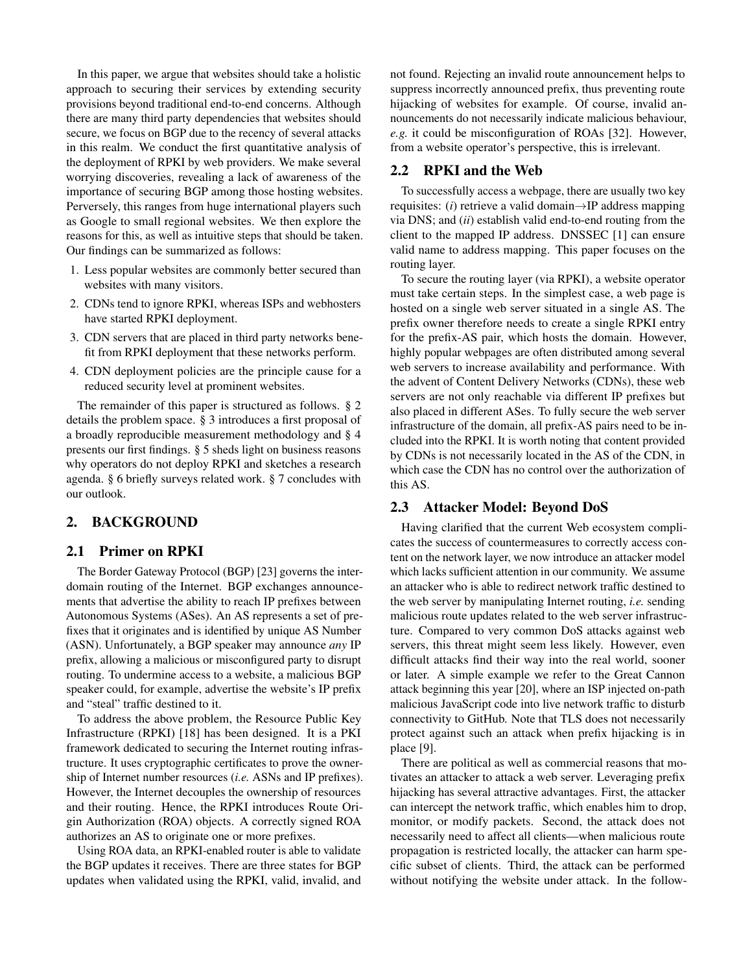In this paper, we argue that websites should take a holistic approach to securing their services by extending security provisions beyond traditional end-to-end concerns. Although there are many third party dependencies that websites should secure, we focus on BGP due to the recency of several attacks in this realm. We conduct the first quantitative analysis of the deployment of RPKI by web providers. We make several worrying discoveries, revealing a lack of awareness of the importance of securing BGP among those hosting websites. Perversely, this ranges from huge international players such as Google to small regional websites. We then explore the reasons for this, as well as intuitive steps that should be taken. Our findings can be summarized as follows:

- 1. Less popular websites are commonly better secured than websites with many visitors.
- 2. CDNs tend to ignore RPKI, whereas ISPs and webhosters have started RPKI deployment.
- 3. CDN servers that are placed in third party networks benefit from RPKI deployment that these networks perform.
- 4. CDN deployment policies are the principle cause for a reduced security level at prominent websites.

The remainder of this paper is structured as follows. § 2 details the problem space. § 3 introduces a first proposal of a broadly reproducible measurement methodology and § 4 presents our first findings. § 5 sheds light on business reasons why operators do not deploy RPKI and sketches a research agenda. § 6 briefly surveys related work. § 7 concludes with our outlook.

# 2. BACKGROUND

#### 2.1 Primer on RPKI

The Border Gateway Protocol (BGP) [23] governs the interdomain routing of the Internet. BGP exchanges announcements that advertise the ability to reach IP prefixes between Autonomous Systems (ASes). An AS represents a set of prefixes that it originates and is identified by unique AS Number (ASN). Unfortunately, a BGP speaker may announce *any* IP prefix, allowing a malicious or misconfigured party to disrupt routing. To undermine access to a website, a malicious BGP speaker could, for example, advertise the website's IP prefix and "steal" traffic destined to it.

To address the above problem, the Resource Public Key Infrastructure (RPKI) [18] has been designed. It is a PKI framework dedicated to securing the Internet routing infrastructure. It uses cryptographic certificates to prove the ownership of Internet number resources (*i.e.* ASNs and IP prefixes). However, the Internet decouples the ownership of resources and their routing. Hence, the RPKI introduces Route Origin Authorization (ROA) objects. A correctly signed ROA authorizes an AS to originate one or more prefixes.

Using ROA data, an RPKI-enabled router is able to validate the BGP updates it receives. There are three states for BGP updates when validated using the RPKI, valid, invalid, and not found. Rejecting an invalid route announcement helps to suppress incorrectly announced prefix, thus preventing route hijacking of websites for example. Of course, invalid announcements do not necessarily indicate malicious behaviour, *e.g.* it could be misconfiguration of ROAs [32]. However, from a website operator's perspective, this is irrelevant.

#### 2.2 RPKI and the Web

To successfully access a webpage, there are usually two key requisites: (*i*) retrieve a valid domain→IP address mapping via DNS; and (*ii*) establish valid end-to-end routing from the client to the mapped IP address. DNSSEC [1] can ensure valid name to address mapping. This paper focuses on the routing layer.

To secure the routing layer (via RPKI), a website operator must take certain steps. In the simplest case, a web page is hosted on a single web server situated in a single AS. The prefix owner therefore needs to create a single RPKI entry for the prefix-AS pair, which hosts the domain. However, highly popular webpages are often distributed among several web servers to increase availability and performance. With the advent of Content Delivery Networks (CDNs), these web servers are not only reachable via different IP prefixes but also placed in different ASes. To fully secure the web server infrastructure of the domain, all prefix-AS pairs need to be included into the RPKI. It is worth noting that content provided by CDNs is not necessarily located in the AS of the CDN, in which case the CDN has no control over the authorization of this AS.

#### 2.3 Attacker Model: Beyond DoS

Having clarified that the current Web ecosystem complicates the success of countermeasures to correctly access content on the network layer, we now introduce an attacker model which lacks sufficient attention in our community. We assume an attacker who is able to redirect network traffic destined to the web server by manipulating Internet routing, *i.e.* sending malicious route updates related to the web server infrastructure. Compared to very common DoS attacks against web servers, this threat might seem less likely. However, even difficult attacks find their way into the real world, sooner or later. A simple example we refer to the Great Cannon attack beginning this year [20], where an ISP injected on-path malicious JavaScript code into live network traffic to disturb connectivity to GitHub. Note that TLS does not necessarily protect against such an attack when prefix hijacking is in place [9].

There are political as well as commercial reasons that motivates an attacker to attack a web server. Leveraging prefix hijacking has several attractive advantages. First, the attacker can intercept the network traffic, which enables him to drop, monitor, or modify packets. Second, the attack does not necessarily need to affect all clients—when malicious route propagation is restricted locally, the attacker can harm specific subset of clients. Third, the attack can be performed without notifying the website under attack. In the follow-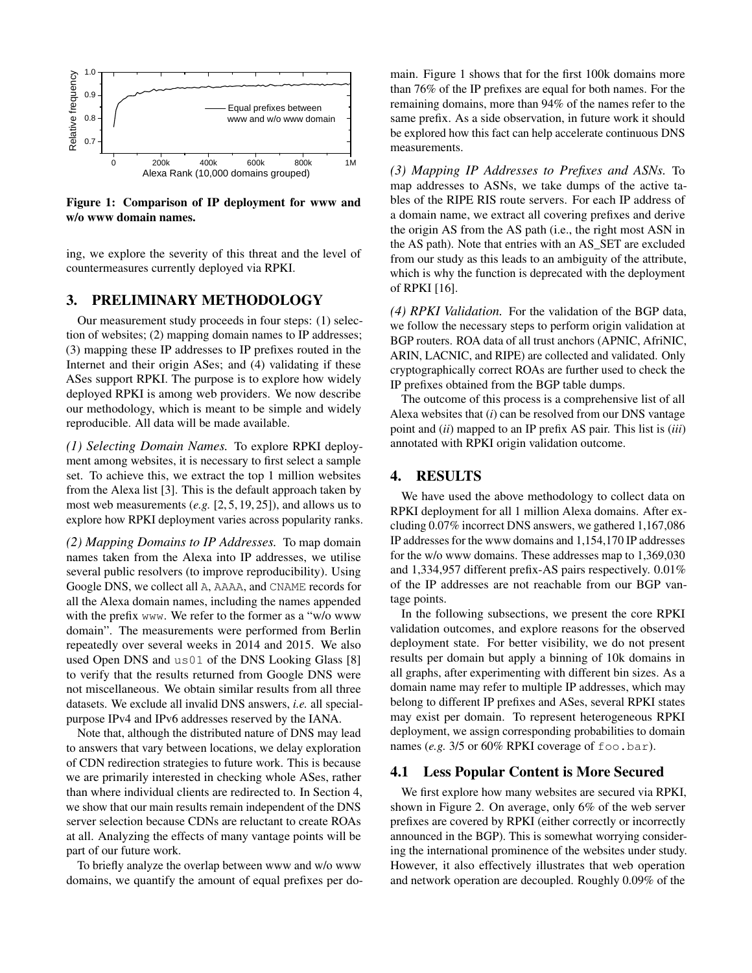

Figure 1: Comparison of IP deployment for www and w/o www domain names.

ing, we explore the severity of this threat and the level of countermeasures currently deployed via RPKI.

## 3. PRELIMINARY METHODOLOGY

Our measurement study proceeds in four steps: (1) selection of websites; (2) mapping domain names to IP addresses; (3) mapping these IP addresses to IP prefixes routed in the Internet and their origin ASes; and (4) validating if these ASes support RPKI. The purpose is to explore how widely deployed RPKI is among web providers. We now describe our methodology, which is meant to be simple and widely reproducible. All data will be made available.

*(1) Selecting Domain Names.* To explore RPKI deployment among websites, it is necessary to first select a sample set. To achieve this, we extract the top 1 million websites from the Alexa list [3]. This is the default approach taken by most web measurements (*e.g.* [2, 5, 19, 25]), and allows us to explore how RPKI deployment varies across popularity ranks.

*(2) Mapping Domains to IP Addresses.* To map domain names taken from the Alexa into IP addresses, we utilise several public resolvers (to improve reproducibility). Using Google DNS, we collect all A, AAAA, and CNAME records for all the Alexa domain names, including the names appended with the prefix www. We refer to the former as a "w/o www domain". The measurements were performed from Berlin repeatedly over several weeks in 2014 and 2015. We also used Open DNS and us01 of the DNS Looking Glass [8] to verify that the results returned from Google DNS were not miscellaneous. We obtain similar results from all three datasets. We exclude all invalid DNS answers, *i.e.* all specialpurpose IPv4 and IPv6 addresses reserved by the IANA.

Note that, although the distributed nature of DNS may lead to answers that vary between locations, we delay exploration of CDN redirection strategies to future work. This is because we are primarily interested in checking whole ASes, rather than where individual clients are redirected to. In Section 4, we show that our main results remain independent of the DNS server selection because CDNs are reluctant to create ROAs at all. Analyzing the effects of many vantage points will be part of our future work.

To briefly analyze the overlap between www and w/o www domains, we quantify the amount of equal prefixes per domain. Figure 1 shows that for the first 100k domains more than 76% of the IP prefixes are equal for both names. For the remaining domains, more than 94% of the names refer to the same prefix. As a side observation, in future work it should be explored how this fact can help accelerate continuous DNS measurements.

*(3) Mapping IP Addresses to Prefixes and ASNs.* To map addresses to ASNs, we take dumps of the active tables of the RIPE RIS route servers. For each IP address of a domain name, we extract all covering prefixes and derive the origin AS from the AS path (i.e., the right most ASN in the AS path). Note that entries with an AS\_SET are excluded from our study as this leads to an ambiguity of the attribute, which is why the function is deprecated with the deployment of RPKI [16].

*(4) RPKI Validation.* For the validation of the BGP data, we follow the necessary steps to perform origin validation at BGP routers. ROA data of all trust anchors (APNIC, AfriNIC, ARIN, LACNIC, and RIPE) are collected and validated. Only cryptographically correct ROAs are further used to check the IP prefixes obtained from the BGP table dumps.

The outcome of this process is a comprehensive list of all Alexa websites that (*i*) can be resolved from our DNS vantage point and (*ii*) mapped to an IP prefix AS pair. This list is (*iii*) annotated with RPKI origin validation outcome.

## 4. RESULTS

We have used the above methodology to collect data on RPKI deployment for all 1 million Alexa domains. After excluding 0.07% incorrect DNS answers, we gathered 1,167,086 IP addresses for the www domains and 1,154,170 IP addresses for the w/o www domains. These addresses map to 1,369,030 and 1,334,957 different prefix-AS pairs respectively. 0.01% of the IP addresses are not reachable from our BGP vantage points.

In the following subsections, we present the core RPKI validation outcomes, and explore reasons for the observed deployment state. For better visibility, we do not present results per domain but apply a binning of 10k domains in all graphs, after experimenting with different bin sizes. As a domain name may refer to multiple IP addresses, which may belong to different IP prefixes and ASes, several RPKI states may exist per domain. To represent heterogeneous RPKI deployment, we assign corresponding probabilities to domain names (*e.g.* 3/5 or 60% RPKI coverage of foo.bar).

## 4.1 Less Popular Content is More Secured

We first explore how many websites are secured via RPKI, shown in Figure 2. On average, only 6% of the web server prefixes are covered by RPKI (either correctly or incorrectly announced in the BGP). This is somewhat worrying considering the international prominence of the websites under study. However, it also effectively illustrates that web operation and network operation are decoupled. Roughly 0.09% of the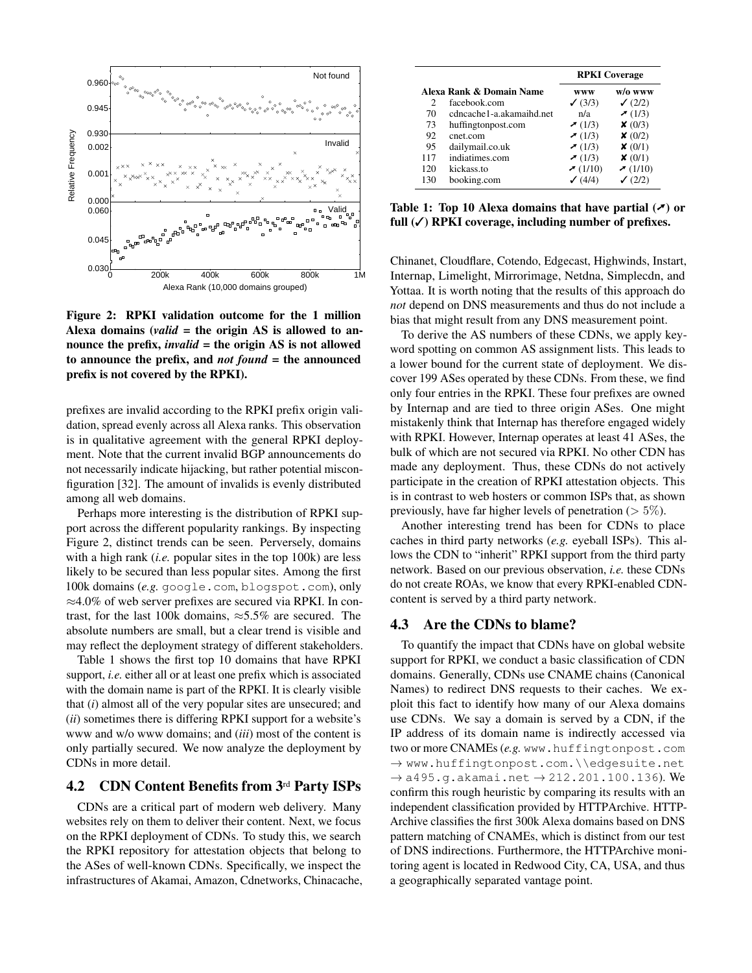

Figure 2: RPKI validation outcome for the 1 million Alexa domains (*valid* = the origin AS is allowed to announce the prefix, *invalid* = the origin AS is not allowed to announce the prefix, and *not found* = the announced prefix is not covered by the RPKI).

prefixes are invalid according to the RPKI prefix origin validation, spread evenly across all Alexa ranks. This observation is in qualitative agreement with the general RPKI deployment. Note that the current invalid BGP announcements do not necessarily indicate hijacking, but rather potential misconfiguration [32]. The amount of invalids is evenly distributed among all web domains.

Perhaps more interesting is the distribution of RPKI support across the different popularity rankings. By inspecting Figure 2, distinct trends can be seen. Perversely, domains with a high rank *(i.e.* popular sites in the top 100k) are less likely to be secured than less popular sites. Among the first 100k domains (*e.g.* google.com, blogspot.com), only ≈4.0% of web server prefixes are secured via RPKI. In contrast, for the last 100k domains,  $\approx$ 5.5% are secured. The absolute numbers are small, but a clear trend is visible and may reflect the deployment strategy of different stakeholders.

Table 1 shows the first top 10 domains that have RPKI support, *i.e.* either all or at least one prefix which is associated with the domain name is part of the RPKI. It is clearly visible that (*i*) almost all of the very popular sites are unsecured; and (*ii*) sometimes there is differing RPKI support for a website's www and w/o www domains; and (*iii*) most of the content is only partially secured. We now analyze the deployment by CDNs in more detail.

# 4.2 CDN Content Benefits from 3rd Party ISPs

CDNs are a critical part of modern web delivery. Many websites rely on them to deliver their content. Next, we focus on the RPKI deployment of CDNs. To study this, we search the RPKI repository for attestation objects that belong to the ASes of well-known CDNs. Specifically, we inspect the infrastructures of Akamai, Amazon, Cdnetworks, Chinacache,

|                          |                          | <b>RPKI Coverage</b> |                              |
|--------------------------|--------------------------|----------------------|------------------------------|
| Alexa Rank & Domain Name |                          | <b>WWW</b>           | w/o www                      |
| 2                        | facebook.com             | (3/3)                | (2/2)                        |
| 70                       | cdncache1-a.akamaihd.net | n/a                  | (1/3)                        |
| 73                       | huffingtonpost.com       | 7(1/3)               | $X (0/3)$                    |
| 92                       | cnet.com                 | (1/3)                | x(0/2)                       |
| 95                       | dailymail.co.uk          | 7(1/3)               | $X (0/1)$                    |
| 117                      | indiatimes.com           | (1/3)                | $X (0/1)$                    |
| 120                      | kickass.to               | $\lambda(1/10)$      | $\blacktriangleright$ (1/10) |
| 130                      | booking.com              | (4/4)                | (2/2)                        |

 $\overline{V_{\text{alid}}_{\text{ad}}}$  Table 1: Top 10 Alexa domains that have partial ( $\lambda$ ) or full  $(\checkmark)$  RPKI coverage, including number of prefixes.

0 200k 400k 600k 800k 1M Internap, Limelight, Mirrorimage, Netdna, Simplecdn, and Chinanet, Cloudflare, Cotendo, Edgecast, Highwinds, Instart, Yottaa. It is worth noting that the results of this approach do *not* depend on DNS measurements and thus do not include a bias that might result from any DNS measurement point.

> To derive the AS numbers of these CDNs, we apply keyword spotting on common AS assignment lists. This leads to a lower bound for the current state of deployment. We discover 199 ASes operated by these CDNs. From these, we find only four entries in the RPKI. These four prefixes are owned by Internap and are tied to three origin ASes. One might mistakenly think that Internap has therefore engaged widely with RPKI. However, Internap operates at least 41 ASes, the bulk of which are not secured via RPKI. No other CDN has made any deployment. Thus, these CDNs do not actively participate in the creation of RPKI attestation objects. This is in contrast to web hosters or common ISPs that, as shown previously, have far higher levels of penetration ( $> 5\%$ ).

> Another interesting trend has been for CDNs to place caches in third party networks (*e.g.* eyeball ISPs). This allows the CDN to "inherit" RPKI support from the third party network. Based on our previous observation, *i.e.* these CDNs do not create ROAs, we know that every RPKI-enabled CDNcontent is served by a third party network.

#### 4.3 Are the CDNs to blame?

To quantify the impact that CDNs have on global website support for RPKI, we conduct a basic classification of CDN domains. Generally, CDNs use CNAME chains (Canonical Names) to redirect DNS requests to their caches. We exploit this fact to identify how many of our Alexa domains use CDNs. We say a domain is served by a CDN, if the IP address of its domain name is indirectly accessed via two or more CNAMEs (*e.g.* www.huffingtonpost.com → www.huffingtonpost.com.\\edgesuite.net  $\rightarrow$  a495.g.akamai.net  $\rightarrow$  212.201.100.136). We confirm this rough heuristic by comparing its results with an independent classification provided by HTTPArchive. HTTP-Archive classifies the first 300k Alexa domains based on DNS pattern matching of CNAMEs, which is distinct from our test of DNS indirections. Furthermore, the HTTPArchive monitoring agent is located in Redwood City, CA, USA, and thus a geographically separated vantage point.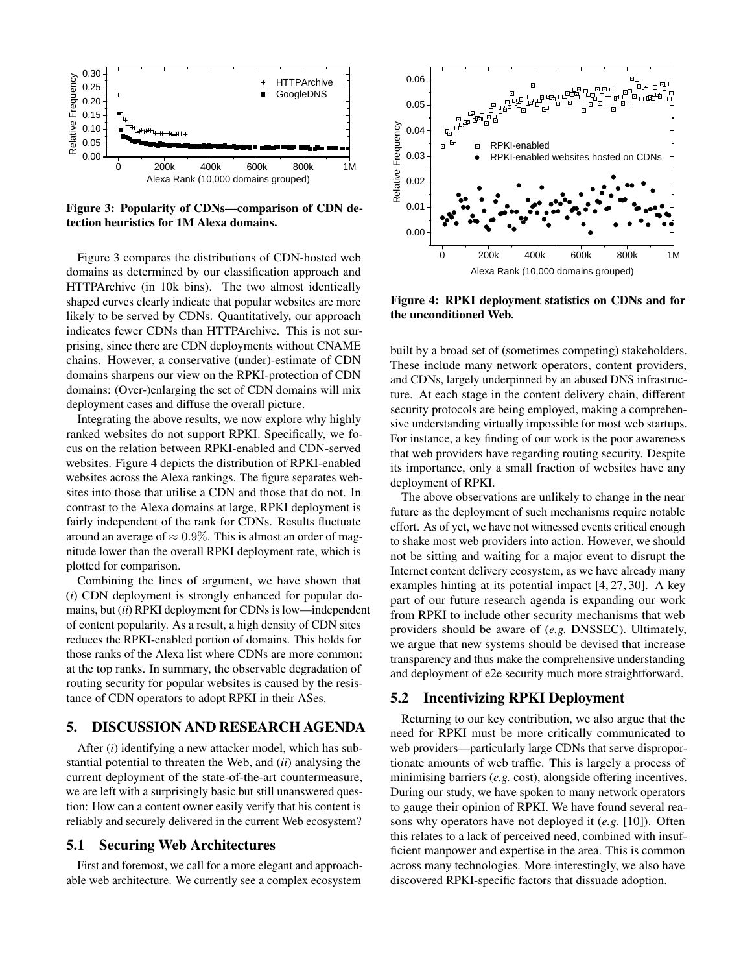

Figure 3: Popularity of CDNs—comparison of CDN detection heuristics for 1M Alexa domains.

Figure 3 compares the distributions of CDN-hosted web domains as determined by our classification approach and HTTPArchive (in 10k bins). The two almost identically shaped curves clearly indicate that popular websites are more likely to be served by CDNs. Quantitatively, our approach indicates fewer CDNs than HTTPArchive. This is not surprising, since there are CDN deployments without CNAME chains. However, a conservative (under)-estimate of CDN domains sharpens our view on the RPKI-protection of CDN domains: (Over-)enlarging the set of CDN domains will mix deployment cases and diffuse the overall picture.

Integrating the above results, we now explore why highly ranked websites do not support RPKI. Specifically, we focus on the relation between RPKI-enabled and CDN-served websites. Figure 4 depicts the distribution of RPKI-enabled websites across the Alexa rankings. The figure separates websites into those that utilise a CDN and those that do not. In contrast to the Alexa domains at large, RPKI deployment is fairly independent of the rank for CDNs. Results fluctuate around an average of  $\approx 0.9\%$ . This is almost an order of magnitude lower than the overall RPKI deployment rate, which is plotted for comparison.

Combining the lines of argument, we have shown that (*i*) CDN deployment is strongly enhanced for popular domains, but (*ii*) RPKI deployment for CDNs is low—independent of content popularity. As a result, a high density of CDN sites reduces the RPKI-enabled portion of domains. This holds for those ranks of the Alexa list where CDNs are more common: at the top ranks. In summary, the observable degradation of routing security for popular websites is caused by the resistance of CDN operators to adopt RPKI in their ASes.

# 5. DISCUSSION AND RESEARCH AGENDA

After (*i*) identifying a new attacker model, which has substantial potential to threaten the Web, and (*ii*) analysing the current deployment of the state-of-the-art countermeasure, we are left with a surprisingly basic but still unanswered question: How can a content owner easily verify that his content is reliably and securely delivered in the current Web ecosystem?

#### 5.1 Securing Web Architectures

First and foremost, we call for a more elegant and approachable web architecture. We currently see a complex ecosystem



Figure 4: RPKI deployment statistics on CDNs and for the unconditioned Web.

built by a broad set of (sometimes competing) stakeholders. These include many network operators, content providers, and CDNs, largely underpinned by an abused DNS infrastructure. At each stage in the content delivery chain, different security protocols are being employed, making a comprehensive understanding virtually impossible for most web startups. For instance, a key finding of our work is the poor awareness that web providers have regarding routing security. Despite its importance, only a small fraction of websites have any deployment of RPKI.

The above observations are unlikely to change in the near future as the deployment of such mechanisms require notable effort. As of yet, we have not witnessed events critical enough to shake most web providers into action. However, we should not be sitting and waiting for a major event to disrupt the Internet content delivery ecosystem, as we have already many examples hinting at its potential impact [4, 27, 30]. A key part of our future research agenda is expanding our work from RPKI to include other security mechanisms that web providers should be aware of (*e.g.* DNSSEC). Ultimately, we argue that new systems should be devised that increase transparency and thus make the comprehensive understanding and deployment of e2e security much more straightforward.

## 5.2 Incentivizing RPKI Deployment

Returning to our key contribution, we also argue that the need for RPKI must be more critically communicated to web providers—particularly large CDNs that serve disproportionate amounts of web traffic. This is largely a process of minimising barriers (*e.g.* cost), alongside offering incentives. During our study, we have spoken to many network operators to gauge their opinion of RPKI. We have found several reasons why operators have not deployed it (*e.g.* [10]). Often this relates to a lack of perceived need, combined with insufficient manpower and expertise in the area. This is common across many technologies. More interestingly, we also have discovered RPKI-specific factors that dissuade adoption.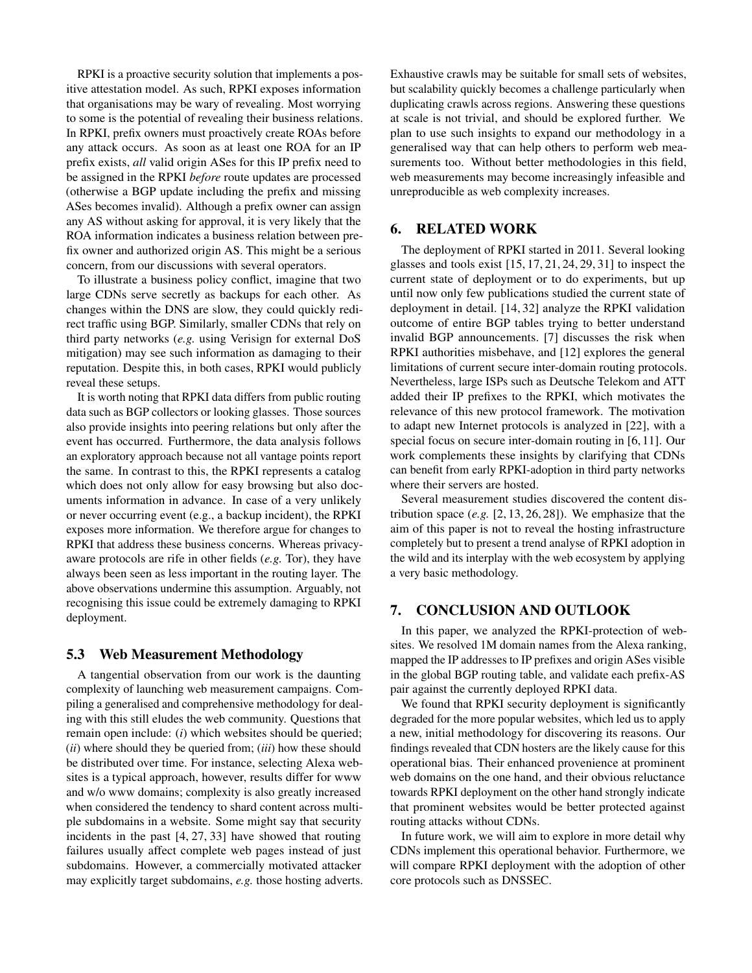RPKI is a proactive security solution that implements a positive attestation model. As such, RPKI exposes information that organisations may be wary of revealing. Most worrying to some is the potential of revealing their business relations. In RPKI, prefix owners must proactively create ROAs before any attack occurs. As soon as at least one ROA for an IP prefix exists, *all* valid origin ASes for this IP prefix need to be assigned in the RPKI *before* route updates are processed (otherwise a BGP update including the prefix and missing ASes becomes invalid). Although a prefix owner can assign any AS without asking for approval, it is very likely that the ROA information indicates a business relation between prefix owner and authorized origin AS. This might be a serious concern, from our discussions with several operators.

To illustrate a business policy conflict, imagine that two large CDNs serve secretly as backups for each other. As changes within the DNS are slow, they could quickly redirect traffic using BGP. Similarly, smaller CDNs that rely on third party networks (*e.g.* using Verisign for external DoS mitigation) may see such information as damaging to their reputation. Despite this, in both cases, RPKI would publicly reveal these setups.

It is worth noting that RPKI data differs from public routing data such as BGP collectors or looking glasses. Those sources also provide insights into peering relations but only after the event has occurred. Furthermore, the data analysis follows an exploratory approach because not all vantage points report the same. In contrast to this, the RPKI represents a catalog which does not only allow for easy browsing but also documents information in advance. In case of a very unlikely or never occurring event (e.g., a backup incident), the RPKI exposes more information. We therefore argue for changes to RPKI that address these business concerns. Whereas privacyaware protocols are rife in other fields (*e.g.* Tor), they have always been seen as less important in the routing layer. The above observations undermine this assumption. Arguably, not recognising this issue could be extremely damaging to RPKI deployment.

#### 5.3 Web Measurement Methodology

A tangential observation from our work is the daunting complexity of launching web measurement campaigns. Compiling a generalised and comprehensive methodology for dealing with this still eludes the web community. Questions that remain open include: (*i*) which websites should be queried; (*ii*) where should they be queried from; (*iii*) how these should be distributed over time. For instance, selecting Alexa websites is a typical approach, however, results differ for www and w/o www domains; complexity is also greatly increased when considered the tendency to shard content across multiple subdomains in a website. Some might say that security incidents in the past [4, 27, 33] have showed that routing failures usually affect complete web pages instead of just subdomains. However, a commercially motivated attacker may explicitly target subdomains, *e.g.* those hosting adverts. Exhaustive crawls may be suitable for small sets of websites, but scalability quickly becomes a challenge particularly when duplicating crawls across regions. Answering these questions at scale is not trivial, and should be explored further. We plan to use such insights to expand our methodology in a generalised way that can help others to perform web measurements too. Without better methodologies in this field, web measurements may become increasingly infeasible and unreproducible as web complexity increases.

# 6. RELATED WORK

The deployment of RPKI started in 2011. Several looking glasses and tools exist [15, 17, 21, 24, 29, 31] to inspect the current state of deployment or to do experiments, but up until now only few publications studied the current state of deployment in detail. [14, 32] analyze the RPKI validation outcome of entire BGP tables trying to better understand invalid BGP announcements. [7] discusses the risk when RPKI authorities misbehave, and [12] explores the general limitations of current secure inter-domain routing protocols. Nevertheless, large ISPs such as Deutsche Telekom and ATT added their IP prefixes to the RPKI, which motivates the relevance of this new protocol framework. The motivation to adapt new Internet protocols is analyzed in [22], with a special focus on secure inter-domain routing in [6, 11]. Our work complements these insights by clarifying that CDNs can benefit from early RPKI-adoption in third party networks where their servers are hosted.

Several measurement studies discovered the content distribution space (*e.g.* [2, 13, 26, 28]). We emphasize that the aim of this paper is not to reveal the hosting infrastructure completely but to present a trend analyse of RPKI adoption in the wild and its interplay with the web ecosystem by applying a very basic methodology.

## 7. CONCLUSION AND OUTLOOK

In this paper, we analyzed the RPKI-protection of websites. We resolved 1M domain names from the Alexa ranking, mapped the IP addresses to IP prefixes and origin ASes visible in the global BGP routing table, and validate each prefix-AS pair against the currently deployed RPKI data.

We found that RPKI security deployment is significantly degraded for the more popular websites, which led us to apply a new, initial methodology for discovering its reasons. Our findings revealed that CDN hosters are the likely cause for this operational bias. Their enhanced provenience at prominent web domains on the one hand, and their obvious reluctance towards RPKI deployment on the other hand strongly indicate that prominent websites would be better protected against routing attacks without CDNs.

In future work, we will aim to explore in more detail why CDNs implement this operational behavior. Furthermore, we will compare RPKI deployment with the adoption of other core protocols such as DNSSEC.